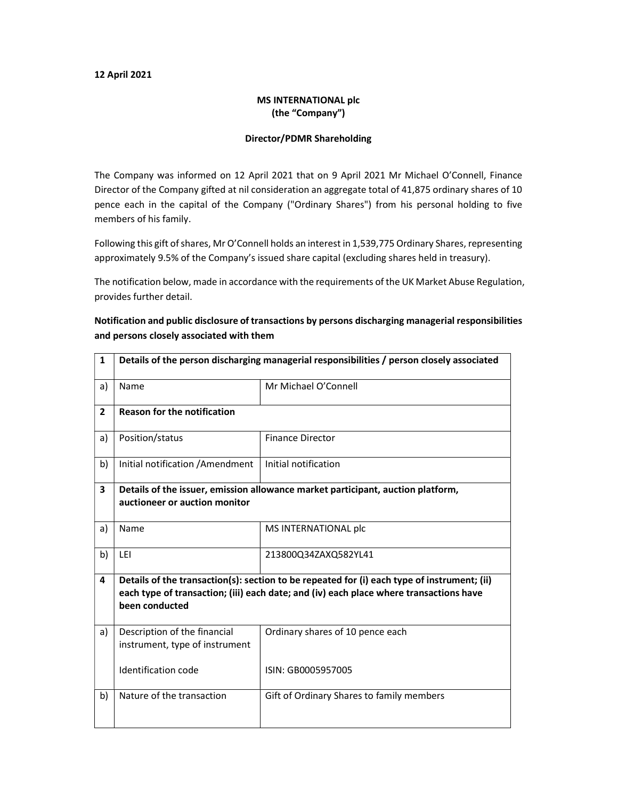#### 12 April 2021

### MS INTERNATIONAL plc (the "Company")

#### Director/PDMR Shareholding

The Company was informed on 12 April 2021 that on 9 April 2021 Mr Michael O'Connell, Finance Director of the Company gifted at nil consideration an aggregate total of 41,875 ordinary shares of 10 pence each in the capital of the Company ("Ordinary Shares") from his personal holding to five members of his family.

Following this gift of shares, Mr O'Connell holds an interest in 1,539,775 Ordinary Shares, representing approximately 9.5% of the Company's issued share capital (excluding shares held in treasury).

The notification below, made in accordance with the requirements of the UK Market Abuse Regulation, provides further detail.

## Notification and public disclosure of transactions by persons discharging managerial responsibilities and persons closely associated with them

| 1              | Details of the person discharging managerial responsibilities / person closely associated                                                                                                               |                                           |  |  |  |
|----------------|---------------------------------------------------------------------------------------------------------------------------------------------------------------------------------------------------------|-------------------------------------------|--|--|--|
| a)             | Name                                                                                                                                                                                                    | Mr Michael O'Connell                      |  |  |  |
| $\overline{2}$ | <b>Reason for the notification</b>                                                                                                                                                                      |                                           |  |  |  |
| a)             | Position/status                                                                                                                                                                                         | <b>Finance Director</b>                   |  |  |  |
| b)             | Initial notification / Amendment                                                                                                                                                                        | Initial notification                      |  |  |  |
| 3              | Details of the issuer, emission allowance market participant, auction platform,                                                                                                                         |                                           |  |  |  |
|                | auctioneer or auction monitor                                                                                                                                                                           |                                           |  |  |  |
| a)             | Name                                                                                                                                                                                                    | MS INTERNATIONAL plc                      |  |  |  |
| b)             | LEI                                                                                                                                                                                                     | 213800Q34ZAXQ582YL41                      |  |  |  |
| 4              | Details of the transaction(s): section to be repeated for (i) each type of instrument; (ii)<br>each type of transaction; (iii) each date; and (iv) each place where transactions have<br>been conducted |                                           |  |  |  |
| a)             | Description of the financial<br>instrument, type of instrument                                                                                                                                          | Ordinary shares of 10 pence each          |  |  |  |
|                | Identification code                                                                                                                                                                                     | ISIN: GB0005957005                        |  |  |  |
| b)             | Nature of the transaction                                                                                                                                                                               | Gift of Ordinary Shares to family members |  |  |  |